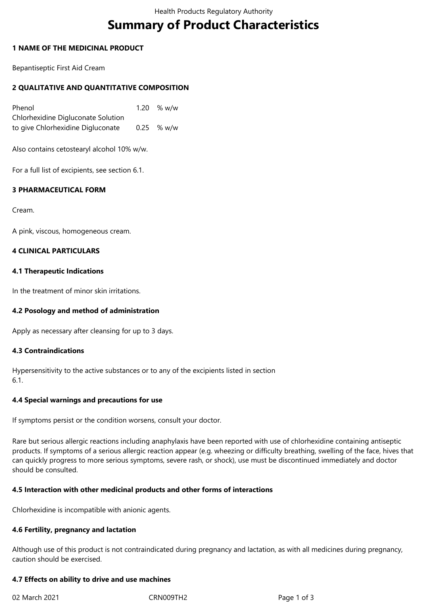# **Summary of Product Characteristics**

# **1 NAME OF THE MEDICINAL PRODUCT**

Bepantiseptic First Aid Cream

# **2 QUALITATIVE AND QUANTITATIVE COMPOSITION**

Phenol 20 % w/w Chlorhexidine Digluconate Solution to give Chlorhexidine Digluconate 0.25 % w/w

Also contains cetostearyl alcohol 10% w/w.

For a full list of excipients, see section 6.1.

# **3 PHARMACEUTICAL FORM**

Cream.

A pink, viscous, homogeneous cream.

# **4 CLINICAL PARTICULARS**

# **4.1 Therapeutic Indications**

In the treatment of minor skin irritations.

# **4.2 Posology and method of administration**

Apply as necessary after cleansing for up to 3 days.

# **4.3 Contraindications**

Hypersensitivity to the active substances or to any of the excipients listed in section 6.1.

# **4.4 Special warnings and precautions for use**

If symptoms persist or the condition worsens, consult your doctor.

Rare but serious allergic reactions including anaphylaxis have been reported with use of chlorhexidine containing antiseptic products. If symptoms of a serious allergic reaction appear (e.g. wheezing or difficulty breathing, swelling of the face, hives that can quickly progress to more serious symptoms, severe rash, or shock), use must be discontinued immediately and doctor should be consulted.

# **4.5 Interaction with other medicinal products and other forms of interactions**

Chlorhexidine is incompatible with anionic agents.

# **4.6 Fertility, pregnancy and lactation**

Although use of this product is not contraindicated during pregnancy and lactation, as with all medicines during pregnancy, caution should be exercised.

# **4.7 Effects on ability to drive and use machines**

02 March 2021 CRN009TH2 Page 1 of 3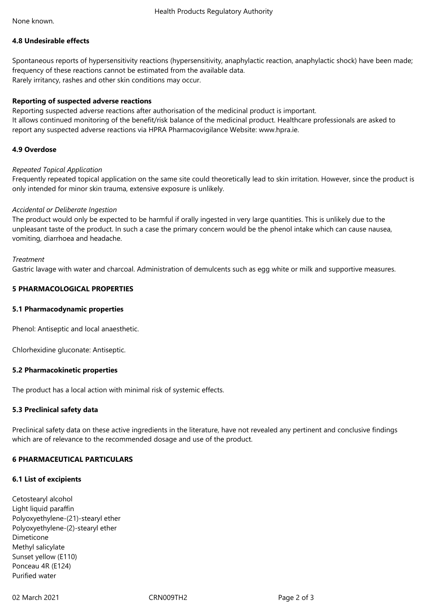None known.

# **4.8 Undesirable effects**

Spontaneous reports of hypersensitivity reactions (hypersensitivity, anaphylactic reaction, anaphylactic shock) have been made; frequency of these reactions cannot be estimated from the available data. Rarely irritancy, rashes and other skin conditions may occur.

# **Reporting of suspected adverse reactions**

Reporting suspected adverse reactions after authorisation of the medicinal product is important. It allows continued monitoring of the benefit/risk balance of the medicinal product. Healthcare professionals are asked to report any suspected adverse reactions via HPRA Pharmacovigilance Website: www.hpra.ie.

# **4.9 Overdose**

# *Repeated Topical Application*

Frequently repeated topical application on the same site could theoretically lead to skin irritation. However, since the product is only intended for minor skin trauma, extensive exposure is unlikely.

# *Accidental or Deliberate Ingestion*

The product would only be expected to be harmful if orally ingested in very large quantities. This is unlikely due to the unpleasant taste of the product. In such a case the primary concern would be the phenol intake which can cause nausea, vomiting, diarrhoea and headache.

# *Treatment*

Gastric lavage with water and charcoal. Administration of demulcents such as egg white or milk and supportive measures.

# **5 PHARMACOLOGICAL PROPERTIES**

# **5.1 Pharmacodynamic properties**

Phenol: Antiseptic and local anaesthetic.

Chlorhexidine gluconate: Antiseptic.

# **5.2 Pharmacokinetic properties**

The product has a local action with minimal risk of systemic effects.

# **5.3 Preclinical safety data**

Preclinical safety data on these active ingredients in the literature, have not revealed any pertinent and conclusive findings which are of relevance to the recommended dosage and use of the product.

# **6 PHARMACEUTICAL PARTICULARS**

# **6.1 List of excipients**

Cetostearyl alcohol Light liquid paraffin Polyoxyethylene-(21)-stearyl ether Polyoxyethylene-(2)-stearyl ether Dimeticone Methyl salicylate Sunset yellow (E110) Ponceau 4R (E124) Purified water